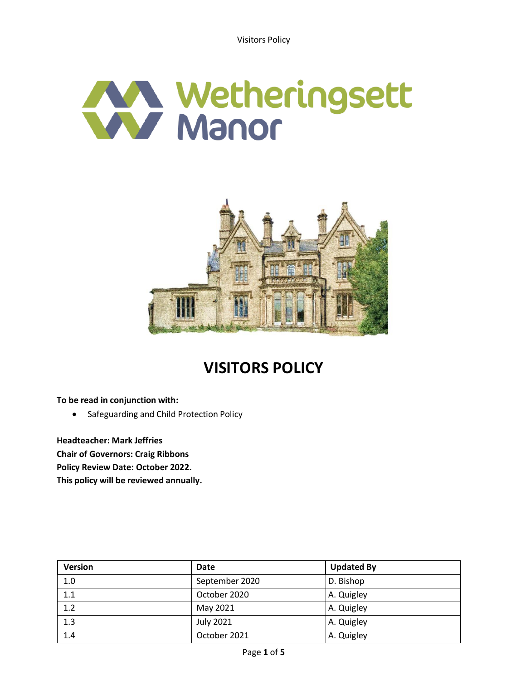Visitors Policy





# **VISITORS POLICY**

**To be read in conjunction with:**

• Safeguarding and Child Protection Policy

**Headteacher: Mark Jeffries Chair of Governors: Craig Ribbons Policy Review Date: October 2022. This policy will be reviewed annually.**

| <b>Version</b> | Date             | <b>Updated By</b> |
|----------------|------------------|-------------------|
| 1.0            | September 2020   | D. Bishop         |
| 1.1            | October 2020     | A. Quigley        |
| 1.2            | May 2021         | A. Quigley        |
| 1.3            | <b>July 2021</b> | A. Quigley        |
| 1.4            | October 2021     | A. Quigley        |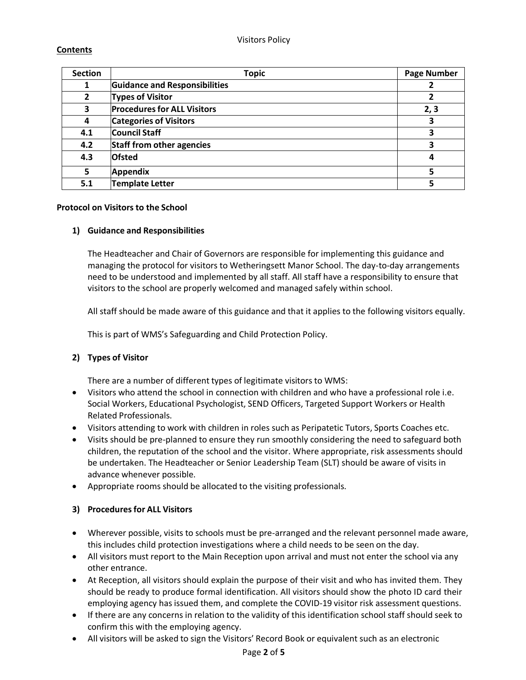# **Contents**

| <b>Section</b> | <b>Topic</b>                         | <b>Page Number</b> |
|----------------|--------------------------------------|--------------------|
|                | <b>Guidance and Responsibilities</b> |                    |
| $\overline{2}$ | <b>Types of Visitor</b>              |                    |
| 3              | <b>Procedures for ALL Visitors</b>   | 2, 3               |
| 4              | <b>Categories of Visitors</b>        | 3                  |
| 4.1            | <b>Council Staff</b>                 | 3                  |
| 4.2            | <b>Staff from other agencies</b>     | 3                  |
| 4.3            | <b>Ofsted</b>                        | 4                  |
| 5              | Appendix                             |                    |
| 5.1            | <b>Template Letter</b>               |                    |

## **Protocol on Visitors to the School**

## **1) Guidance and Responsibilities**

The Headteacher and Chair of Governors are responsible for implementing this guidance and managing the protocol for visitors to Wetheringsett Manor School. The day-to-day arrangements need to be understood and implemented by all staff. All staff have a responsibility to ensure that visitors to the school are properly welcomed and managed safely within school.

All staff should be made aware of this guidance and that it applies to the following visitors equally.

This is part of WMS's Safeguarding and Child Protection Policy.

# **2) Types of Visitor**

There are a number of different types of legitimate visitors to WMS:

- Visitors who attend the school in connection with children and who have a professional role i.e. Social Workers, Educational Psychologist, SEND Officers, Targeted Support Workers or Health Related Professionals.
- Visitors attending to work with children in roles such as Peripatetic Tutors, Sports Coaches etc.
- Visits should be pre-planned to ensure they run smoothly considering the need to safeguard both children, the reputation of the school and the visitor. Where appropriate, risk assessments should be undertaken. The Headteacher or Senior Leadership Team (SLT) should be aware of visits in advance whenever possible.
- Appropriate rooms should be allocated to the visiting professionals.

# **3) Proceduresfor ALL Visitors**

- Wherever possible, visits to schools must be pre-arranged and the relevant personnel made aware, this includes child protection investigations where a child needs to be seen on the day.
- All visitors must report to the Main Reception upon arrival and must not enter the school via any other entrance.
- At Reception, all visitors should explain the purpose of their visit and who has invited them. They should be ready to produce formal identification. All visitors should show the photo ID card their employing agency hasissued them, and complete the COVID-19 visitor risk assessment questions.
- If there are any concerns in relation to the validity of this identification school staff should seek to confirm this with the employing agency.
- All visitors will be asked to sign the Visitors' Record Book or equivalent such as an electronic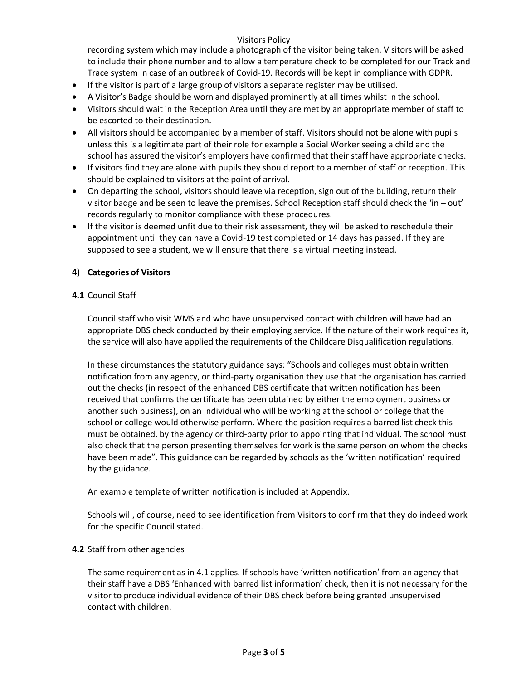## Visitors Policy

recording system which may include a photograph of the visitor being taken. Visitors will be asked to include their phone number and to allow a temperature check to be completed for our Track and Trace system in case of an outbreak of Covid-19. Records will be kept in compliance with GDPR.

- If the visitor is part of a large group of visitors a separate register may be utilised.
- A Visitor's Badge should be worn and displayed prominently at all times whilst in the school.
- Visitors should wait in the Reception Area until they are met by an appropriate member of staff to be escorted to their destination.
- All visitors should be accompanied by a member of staff. Visitors should not be alone with pupils unless this is a legitimate part of their role for example a Social Worker seeing a child and the school has assured the visitor's employers have confirmed that their staff have appropriate checks.
- If visitors find they are alone with pupils they should report to a member of staff or reception. This should be explained to visitors at the point of arrival.
- On departing the school, visitors should leave via reception, sign out of the building, return their visitor badge and be seen to leave the premises. School Reception staff should check the 'in – out' records regularly to monitor compliance with these procedures.
- If the visitor is deemed unfit due to their risk assessment, they will be asked to reschedule their appointment until they can have a Covid-19 test completed or 14 days has passed. If they are supposed to see a student, we will ensure that there is a virtual meeting instead.

## **4) Categories of Visitors**

## **4.1** Council Staff

Council staff who visit WMS and who have unsupervised contact with children will have had an appropriate DBS check conducted by their employing service. If the nature of their work requires it, the service will also have applied the requirements of the Childcare Disqualification regulations.

In these circumstances the statutory guidance says: "Schools and colleges must obtain written notification from any agency, or third-party organisation they use that the organisation has carried out the checks (in respect of the enhanced DBS certificate that written notification has been received that confirms the certificate has been obtained by either the employment business or another such business), on an individual who will be working at the school or college that the school or college would otherwise perform. Where the position requires a barred list check this must be obtained, by the agency or third-party prior to appointing that individual. The school must also check that the person presenting themselves for work is the same person on whom the checks have been made". This guidance can be regarded by schools as the 'written notification' required by the guidance.

An example template of written notification is included at Appendix.

Schools will, of course, need to see identification from Visitors to confirm that they do indeed work for the specific Council stated.

## **4.2** Staff from other agencies

The same requirement as in 4.1 applies. If schools have 'written notification' from an agency that their staff have a DBS 'Enhanced with barred list information' check, then it is not necessary for the visitor to produce individual evidence of their DBS check before being granted unsupervised contact with children.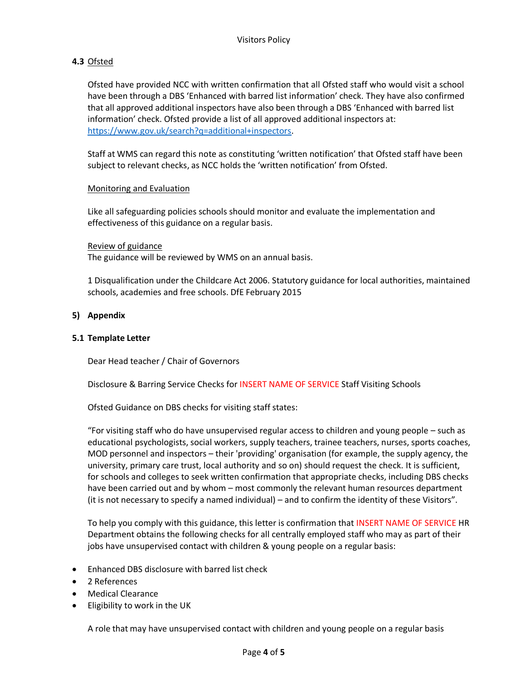# **4.3** Ofsted

Ofsted have provided NCC with written confirmation that all Ofsted staff who would visit a school have been through a DBS 'Enhanced with barred list information' check. They have also confirmed that all approved additional inspectors have also been through a DBS 'Enhanced with barred list information' check. Ofsted provide a list of all approved additional inspectors at: [https://www.gov.uk/search?q=additional+inspectors.](https://www.gov.uk/search?q=additional%2Binspectors)

Staff at WMS can regard this note as constituting 'written notification' that Ofsted staff have been subject to relevant checks, as NCC holds the 'written notification' from Ofsted.

#### Monitoring and Evaluation

Like all safeguarding policies schools should monitor and evaluate the implementation and effectiveness of this guidance on a regular basis.

Review of guidance

The guidance will be reviewed by WMS on an annual basis.

1 Disqualification under the Childcare Act 2006. Statutory guidance for local authorities, maintained schools, academies and free schools. DfE February 2015

#### **5) Appendix**

#### **5.1 Template Letter**

Dear Head teacher / Chair of Governors

Disclosure & Barring Service Checks for INSERT NAME OF SERVICE Staff Visiting Schools

Ofsted Guidance on DBS checks for visiting staff states:

"For visiting staff who do have unsupervised regular access to children and young people – such as educational psychologists, social workers, supply teachers, trainee teachers, nurses, sports coaches, MOD personnel and inspectors – their 'providing' organisation (for example, the supply agency, the university, primary care trust, local authority and so on) should request the check. It is sufficient, for schools and colleges to seek written confirmation that appropriate checks, including DBS checks have been carried out and by whom – most commonly the relevant human resources department (it is not necessary to specify a named individual) – and to confirm the identity of these Visitors".

To help you comply with this guidance, this letter is confirmation that INSERT NAME OF SERVICE HR Department obtains the following checks for all centrally employed staff who may as part of their jobs have unsupervised contact with children & young people on a regular basis:

- Enhanced DBS disclosure with barred list check
- 2 References
- Medical Clearance
- Eligibility to work in the UK

A role that may have unsupervised contact with children and young people on a regular basis